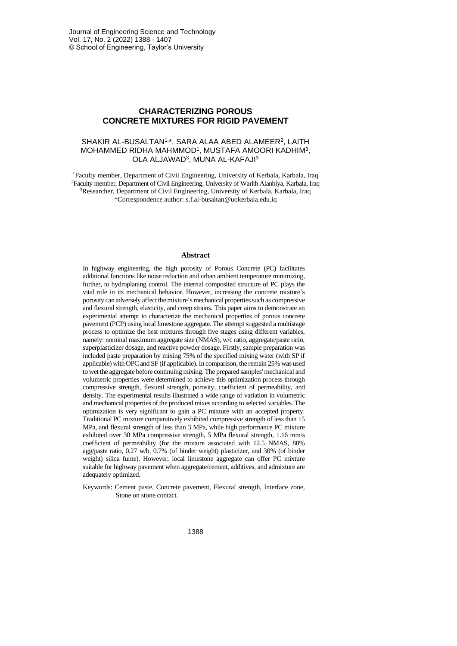# **CHARACTERIZING POROUS CONCRETE MIXTURES FOR RIGID PAVEMENT**

#### SHAKIR AL-BUSALTAN1, \*, SARA ALAA ABED ALAMEER<sup>2</sup> , LAITH MOHAMMED RIDHA MAHMMOD<sup>1</sup> , MUSTAFA AMOORI KADHIM<sup>3</sup> , OLA ALJAWAD<sup>3</sup> , MUNA AL-KAFAJI<sup>3</sup>

Faculty member, Department of Civil Engineering, University of Kerbala, Karbala, Iraq Faculty member, Department of Civil Engineering, University of Warith Alanbiya, Karbala, Iraq Researcher, Department of Civil Engineering, University of Kerbala, Karbala, Iraq \*Correspondence author: [s.f.al-busaltan@uokerbala.edu.iq](mailto:s.f.al-busaltan@uokerbala.edu.iq)

#### **Abstract**

In highway engineering, the high porosity of Porous Concrete (PC) facilitates additional functions like noise reduction and urban ambient temperature minimizing, further, to hydroplaning control. The internal composited structure of PC plays the vital role in its mechanical behavior. However, increasing the concrete mixture's porosity can adversely affect the mixture's mechanical properties such as compressive and flexural strength, elasticity, and creep strains. This paper aims to demonstrate an experimental attempt to characterize the mechanical properties of porous concrete pavement (PCP) using local limestone aggregate. The attempt suggested a multistage process to optimize the best mixtures through five stages using different variables, namely: nominal maximum aggregate size (NMAS), w/c ratio, aggregate/paste ratio, superplasticizer dosage, and reactive powder dosage. Firstly, sample preparation was included paste preparation by mixing 75% of the specified mixing water (with SP if applicable) with OPC and SF (if applicable). In comparison, the remain 25% was used to wet the aggregate before continuing mixing. The prepared samples' mechanical and volumetric properties were determined to achieve this optimization process through compressive strength, flexural strength, porosity, coefficient of permeability, and density. The experimental results illustrated a wide range of variation in volumetric and mechanical properties of the produced mixes according to selected variables. The optimization is very significant to gain a PC mixture with an accepted property. Traditional PC mixture comparatively exhibited compressive strength of less than 15 MPa, and flexural strength of less than 3 MPa, while high performance PC mixture exhibited over 30 MPa compressive strength, 5 MPa flexural strength, 1.16 mm/s coefficient of permeability (for the mixture associated with 12.5 NMAS, 80% agg/paste ratio, 0.27 w/b, 0.7% (of binder weight) plasticizer, and 30% (of binder weight) silica fume). However, local limestone aggregate can offer PC mixture suitable for highway pavement when aggregate/cement, additives, and admixture are adequately optimized.

Keywords: Cement paste, Concrete pavement, Flexural strength, Interface zone, Stone on stone contact.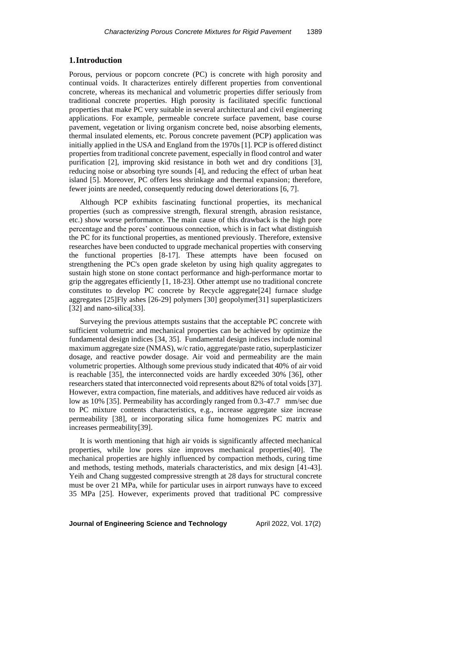#### **1.Introduction**

Porous, pervious or popcorn concrete (PC) is concrete with high porosity and continual voids. It characterizes entirely different properties from conventional concrete, whereas its mechanical and volumetric properties differ seriously from traditional concrete properties. High porosity is facilitated specific functional properties that make PC very suitable in several architectural and civil engineering applications. For example, permeable concrete surface pavement, base course pavement, vegetation or living organism concrete bed, noise absorbing elements, thermal insulated elements, etc. Porous concrete pavement (PCP) application was initially applied in the USA and England from the 1970s [1]. PCP is offered distinct properties from traditional concrete pavement, especially in flood control and water purification [2], improving skid resistance in both wet and dry conditions [3], reducing noise or absorbing tyre sounds [4], and reducing the effect of urban heat island [5]. Moreover, PC offers less shrinkage and thermal expansion; therefore, fewer joints are needed, consequently reducing dowel deteriorations [6, 7].

Although PCP exhibits fascinating functional properties, its mechanical properties (such as compressive strength, flexural strength, abrasion resistance, etc.) show worse performance. The main cause of this drawback is the high pore percentage and the pores' continuous connection, which is in fact what distinguish the PC for its functional properties, as mentioned previously. Therefore, extensive researches have been conducted to upgrade mechanical properties with conserving the functional properties [8-17]. These attempts have been focused on strengthening the PC's open grade skeleton by using high quality aggregates to sustain high stone on stone contact performance and high-performance mortar to grip the aggregates efficiently [1, 18-23]. Other attempt use no traditional concrete constitutes to develop PC concrete by Recycle aggregate[24] furnace sludge aggregates [25]Fly ashes [26-29] polymers [30] geopolymer[31] superplasticizers [32] and nano-silica<sup>[33]</sup>.

Surveying the previous attempts sustains that the acceptable PC concrete with sufficient volumetric and mechanical properties can be achieved by optimize the fundamental design indices [34, 35]. Fundamental design indices include nominal maximum aggregate size (NMAS), w/c ratio, aggregate/paste ratio, superplasticizer dosage, and reactive powder dosage. Air void and permeability are the main volumetric properties. Although some previous study indicated that 40% of air void is reachable [35], the interconnected voids are hardly exceeded 30% [36], other researchers stated that interconnected void represents about 82% of total voids [37]. However, extra compaction, fine materials, and additives have reduced air voids as low as 10% [35]. Permeability has accordingly ranged from 0.3-47.7 mm/sec due to PC mixture contents characteristics, e.g., increase aggregate size increase permeability [38], or incorporating silica fume homogenizes PC matrix and increases permeability[39].

It is worth mentioning that high air voids is significantly affected mechanical properties, while low pores size improves mechanical properties[40]. The mechanical properties are highly influenced by compaction methods, curing time and methods, testing methods, materials characteristics, and mix design [41-43]. Yeih and Chang suggested compressive strength at 28 days for structural concrete must be over 21 MPa, while for particular uses in airport runways have to exceed 35 MPa [25]. However, experiments proved that traditional PC compressive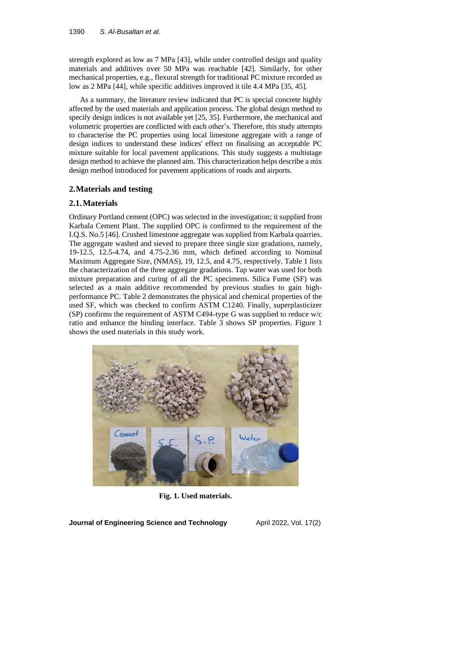strength explored as low as 7 MPa [43], while under controlled design and quality materials and additives over 50 MPa was reachable [42]. Similarly, for other mechanical properties, e.g., flexural strength for traditional PC mixture recorded as low as 2 MPa [44], while specific additives improved it tile 4.4 MPa [35, 45].

As a summary, the literature review indicated that PC is special concrete highly affected by the used materials and application process. The global design method to specify design indices is not available yet [25, 35]. Furthermore, the mechanical and volumetric properties are conflicted with each other's. Therefore, this study attempts to characterise the PC properties using local limestone aggregate with a range of design indices to understand these indices' effect on finalising an acceptable PC mixture suitable for local pavement applications. This study suggests a multistage design method to achieve the planned aim. This characterization helps describe a mix design method introduced for pavement applications of roads and airports.

# **2.Materials and testing**

# **2.1.Materials**

Ordinary Portland cement (OPC) was selected in the investigation; it supplied from Karbala Cement Plant. The supplied OPC is confirmed to the requirement of the I.Q.S. No.5 [46]. Crushed limestone aggregate was supplied from Karbala quarries. The aggregate washed and sieved to prepare three single size gradations, namely, 19-12.5, 12.5-4.74, and 4.75-2.36 mm, which defined according to Nominal Maximum Aggregate Size, (NMAS), 19, 12.5, and 4.75, respectively. Table 1 lists the characterization of the three aggregate gradations. Tap water was used for both mixture preparation and curing of all the PC specimens. Silica Fume (SF) was selected as a main additive recommended by previous studies to gain highperformance PC. Table 2 demonstrates the physical and chemical properties of the used SF, which was checked to confirm ASTM C1240. Finally, superplasticizer (SP) confirms the requirement of ASTM C494-type G was supplied to reduce w/c ratio and enhance the binding interface. Table 3 shows SP properties. Figure 1 shows the used materials in this study work.



**Fig. 1. Used materials.**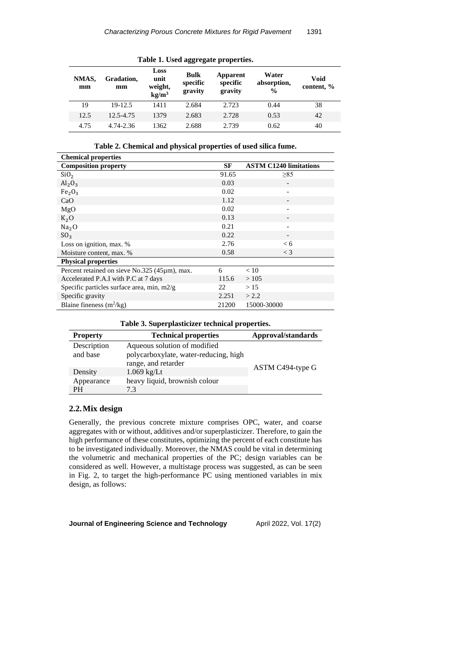| Tubic 1. Oben uggi egune propertito. |                  |                                              |                                    |                                 |                                       |                    |  |
|--------------------------------------|------------------|----------------------------------------------|------------------------------------|---------------------------------|---------------------------------------|--------------------|--|
| NMAS,<br>mm                          | Gradation,<br>mm | Loss<br>unit<br>weight,<br>kg/m <sup>3</sup> | <b>Bulk</b><br>specific<br>gravity | Apparent<br>specific<br>gravity | Water<br>absorption,<br>$\frac{0}{0}$ | Void<br>content, % |  |
| 19                                   | $19 - 12.5$      | 1411                                         | 2.684                              | 2.723                           | 0.44                                  | 38                 |  |
| 12.5                                 | 12.5-4.75        | 1379                                         | 2.683                              | 2.728                           | 0.53                                  | 42                 |  |
| 4.75                                 | 4.74-2.36        | 1362                                         | 2.688                              | 2.739                           | 0.62                                  | 40                 |  |

#### **Table 1. Used aggregate properties.**

**Table 2. Chemical and physical properties of used silica fume.**

| <b>Chemical properties</b>                    |       |                               |  |  |
|-----------------------------------------------|-------|-------------------------------|--|--|
| <b>Composition property</b>                   | SF    | <b>ASTM C1240 limitations</b> |  |  |
| SiO <sub>2</sub>                              | 91.65 | $\geq$ 85                     |  |  |
| $\text{Al}_2\text{O}_3$                       | 0.03  |                               |  |  |
| Fe <sub>2</sub> O <sub>3</sub>                | 0.02  |                               |  |  |
| CaO                                           | 1.12  | -                             |  |  |
| MgO                                           | 0.02  |                               |  |  |
| $K_2O$                                        | 0.13  |                               |  |  |
| Na <sub>2</sub> O                             | 0.21  |                               |  |  |
| SO <sub>3</sub>                               | 0.22  | -                             |  |  |
| Loss on ignition, max. %                      | 2.76  | < 6                           |  |  |
| Moisture content, max. %                      | 0.58  | $\lt$ 3                       |  |  |
| <b>Physical properties</b>                    |       |                               |  |  |
| Percent retained on sieve No.325 (45µm), max. | 6     | < 10                          |  |  |
| Accelerated P.A.I with P.C at 7 days          | 115.6 | >105                          |  |  |
| Specific particles surface area, min, $m2/g$  | 22    | >15                           |  |  |
| Specific gravity                              | 2.251 | > 2.2                         |  |  |
| Blaine fineness $(m^2/kg)$                    | 21200 | 15000-30000                   |  |  |

|  |  |  |  | Table 3. Superplasticizer technical properties. |
|--|--|--|--|-------------------------------------------------|
|--|--|--|--|-------------------------------------------------|

| <b>Property</b> | <b>Technical properties</b>           | Approval/standards |  |  |
|-----------------|---------------------------------------|--------------------|--|--|
| Description     | Aqueous solution of modified          |                    |  |  |
| and base        | polycarboxylate, water-reducing, high |                    |  |  |
|                 | range, and retarder                   | ASTM C494-type G   |  |  |
| Density         | $1.069$ kg/Lt                         |                    |  |  |
| Appearance      | heavy liquid, brownish colour         |                    |  |  |
| <b>PH</b>       | 7.3                                   |                    |  |  |

# **2.2.Mix design**

Generally, the previous concrete mixture comprises OPC, water, and coarse aggregates with or without, additives and/or superplasticizer. Therefore, to gain the high performance of these constitutes, optimizing the percent of each constitute has to be investigated individually. Moreover, the NMAS could be vital in determining the volumetric and mechanical properties of the PC; design variables can be considered as well. However, a multistage process was suggested, as can be seen in Fig. 2, to target the high-performance PC using mentioned variables in mix design, as follows: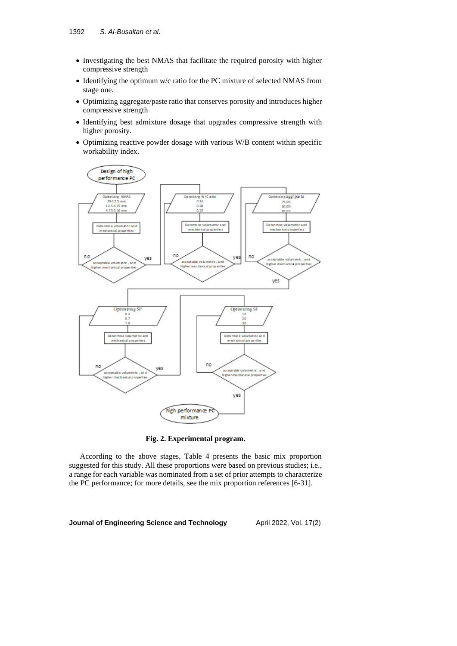- Investigating the best NMAS that facilitate the required porosity with higher compressive strength
- Identifying the optimum w/c ratio for the PC mixture of selected NMAS from stage one.
- Optimizing aggregate/paste ratio that conserves porosity and introduces higher compressive strength
- Identifying best admixture dosage that upgrades compressive strength with higher porosity.
- Optimizing reactive powder dosage with various W/B content within specific workability index.



**Fig. 2. Experimental program.**

According to the above stages, Table 4 presents the basic mix proportion suggested for this study. All these proportions were based on previous studies; i.e., a range for each variable was nominated from a set of prior attempts to characterize the PC performance; for more details, see the mix proportion references [6-31].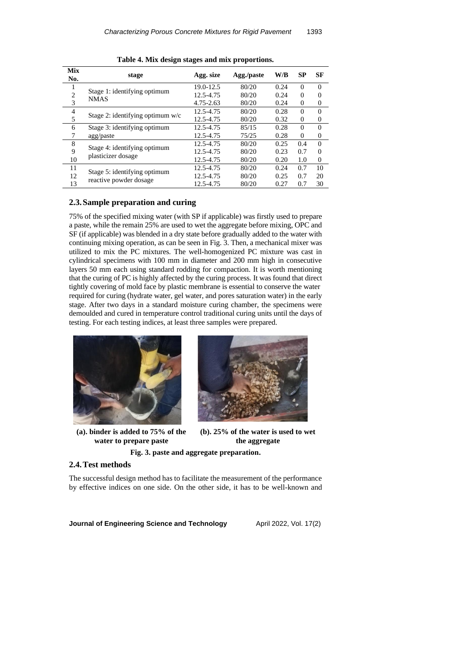| Mix<br>No.     | stage                                              | Agg. size | Agg./paste | W/B  | SP       | <b>SF</b>        |
|----------------|----------------------------------------------------|-----------|------------|------|----------|------------------|
|                | Stage 1: identifying optimum<br><b>NMAS</b>        | 19.0-12.5 | 80/20      | 0.24 | $\Omega$ | $\Omega$         |
| $\overline{c}$ |                                                    | 12.5-4.75 | 80/20      | 0.24 | $\Omega$ | 0                |
| 3              |                                                    | 4.75-2.63 | 80/20      | 0.24 | $\Omega$ | $\overline{0}$   |
| 4              | Stage 2: identifying optimum $w/c$                 | 12.5-4.75 | 80/20      | 0.28 | $\Omega$ | $\Omega$         |
| 5              |                                                    | 12.5-4.75 | 80/20      | 0.32 | $\Omega$ | $\Omega$         |
| 6              | Stage 3: identifying optimum                       | 12.5-4.75 | 85/15      | 0.28 | $\Omega$ | $\Omega$         |
|                | agg/paste                                          | 12.5-4.75 | 75/25      | 0.28 | $\Omega$ | $\boldsymbol{0}$ |
| 8              | Stage 4: identifying optimum<br>plasticizer dosage | 12.5-4.75 | 80/20      | 0.25 | 0.4      | $\Omega$         |
| 9              |                                                    | 12.5-4.75 | 80/20      | 0.23 | 0.7      | $\Omega$         |
| 10             |                                                    | 12.5-4.75 | 80/20      | 0.20 | 1.0      | $\overline{0}$   |
| 11             | Stage 5: identifying optimum                       | 12.5-4.75 | 80/20      | 0.24 | 0.7      | 10               |
| 12             |                                                    | 12.5-4.75 | 80/20      | 0.25 | 0.7      | 20               |
| 13             | reactive powder dosage                             | 12.5-4.75 | 80/20      | 0.27 | 0.7      | 30               |

**Table 4. Mix design stages and mix proportions.**

## **2.3.Sample preparation and curing**

75% of the specified mixing water (with SP if applicable) was firstly used to prepare a paste, while the remain 25% are used to wet the aggregate before mixing, OPC and SF (if applicable) was blended in a dry state before gradually added to the water with continuing mixing operation, as can be seen in Fig. 3. Then, a mechanical mixer was utilized to mix the PC mixtures. The well-homogenized PC mixture was cast in cylindrical specimens with 100 mm in diameter and 200 mm high in consecutive layers 50 mm each using standard rodding for compaction. It is worth mentioning that the curing of PC is highly affected by the curing process. It was found that direct tightly covering of mold face by plastic membrane is essential to conserve the water required for curing (hydrate water, gel water, and pores saturation water) in the early stage. After two days in a standard moisture curing chamber, the specimens were demoulded and cured in temperature control traditional curing units until the days of testing. For each testing indices, at least three samples were prepared.



**(a). binder is added to 75% of the water to prepare paste**



**(b). 25% of the water is used to wet the aggregate**

# **Fig. 3. paste and aggregate preparation.**

# **2.4.Test methods**

The successful design method has to facilitate the measurement of the performance by effective indices on one side. On the other side, it has to be well-known and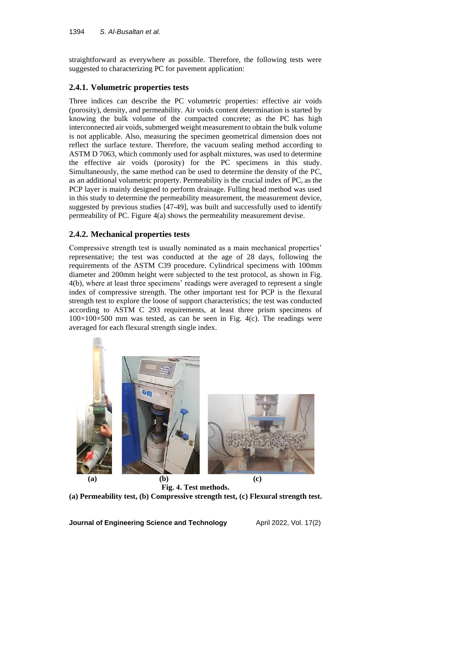straightforward as everywhere as possible. Therefore, the following tests were suggested to characterizing PC for pavement application:

# **2.4.1. Volumetric properties tests**

Three indices can describe the PC volumetric properties: effective air voids (porosity), density, and permeability. Air voids content determination is started by knowing the bulk volume of the compacted concrete; as the PC has high interconnected air voids, submerged weight measurement to obtain the bulk volume is not applicable. Also, measuring the specimen geometrical dimension does not reflect the surface texture. Therefore, the vacuum sealing method according to ASTM D 7063, which commonly used for asphalt mixtures, was used to determine the effective air voids (porosity) for the PC specimens in this study. Simultaneously, the same method can be used to determine the density of the PC, as an additional volumetric property. Permeability is the crucial index of PC, as the PCP layer is mainly designed to perform drainage. Fulling head method was used in this study to determine the permeability measurement, the measurement device, suggested by previous studies [47-49], was built and successfully used to identify permeability of PC. Figure 4(a) shows the permeability measurement devise.

# **2.4.2. Mechanical properties tests**

Compressive strength test is usually nominated as a main mechanical properties' representative; the test was conducted at the age of 28 days, following the requirements of the ASTM C39 procedure. Cylindrical specimens with 100mm diameter and 200mm height were subjected to the test protocol, as shown in Fig. 4(b), where at least three specimens' readings were averaged to represent a single index of compressive strength. The other important test for PCP is the flexural strength test to explore the loose of support characteristics; the test was conducted according to ASTM C 293 requirements, at least three prism specimens of  $100\times100\times500$  mm was tested, as can be seen in Fig. 4(c). The readings were averaged for each flexural strength single index.



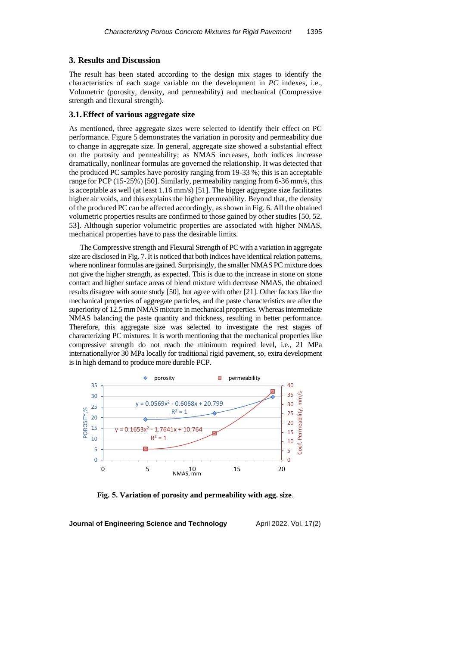#### **3. Results and Discussion**

The result has been stated according to the design mix stages to identify the characteristics of each stage variable on the development in *PC* indexes, i.e., Volumetric (porosity, density, and permeability) and mechanical (Compressive strength and flexural strength).

#### **3.1.Effect of various aggregate size**

As mentioned, three aggregate sizes were selected to identify their effect on PC performance. Figure 5 demonstrates the variation in porosity and permeability due to change in aggregate size. In general, aggregate size showed a substantial effect on the porosity and permeability; as NMAS increases, both indices increase dramatically, nonlinear formulas are governed the relationship. It was detected that the produced PC samples have porosity ranging from 19-33 %; this is an acceptable range for PCP (15-25%) [50]. Similarly, permeability ranging from 6-36 mm/s, this is acceptable as well (at least 1.16 mm/s) [51]. The bigger aggregate size facilitates higher air voids, and this explains the higher permeability. Beyond that, the density of the produced PC can be affected accordingly, as shown in Fig. 6. All the obtained volumetric properties results are confirmed to those gained by other studies [50, 52, 53]. Although superior volumetric properties are associated with higher NMAS, mechanical properties have to pass the desirable limits.

The Compressive strength and Flexural Strength of PC with a variation in aggregate size are disclosed in Fig. 7. It is noticed that both indices have identical relation patterns, where nonlinear formulas are gained. Surprisingly, the smaller NMAS PC mixture does not give the higher strength, as expected. This is due to the increase in stone on stone contact and higher surface areas of blend mixture with decrease NMAS, the obtained results disagree with some study [50], but agree with other [21]. Other factors like the mechanical properties of aggregate particles, and the paste characteristics are after the superiority of 12.5 mm NMAS mixture in mechanical properties. Whereas intermediate NMAS balancing the paste quantity and thickness, resulting in better performance. Therefore, this aggregate size was selected to investigate the rest stages of characterizing PC mixtures. It is worth mentioning that the mechanical properties like compressive strength do not reach the minimum required level, i.e., 21 MPa internationally/or 30 MPa locally for traditional rigid pavement, so, extra development is in high demand to produce more durable PCP.



**Fig. 5. Variation of porosity and permeability with agg. size**.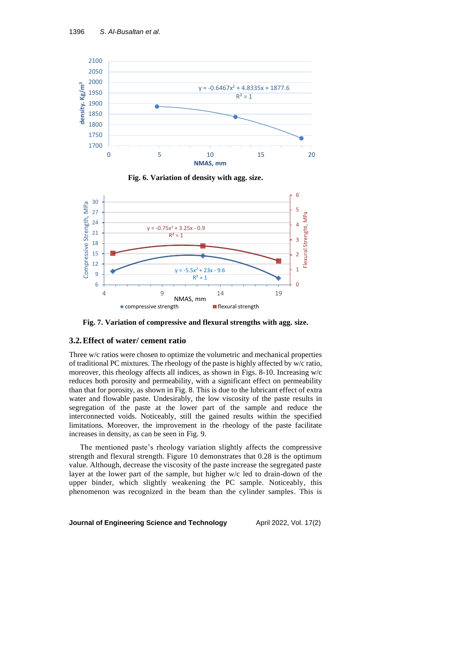

**Fig. 6. Variation of density with agg. size.**



**Fig. 7. Variation of compressive and flexural strengths with agg. size.**

### **3.2.Effect of water/ cement ratio**

Three w/c ratios were chosen to optimize the volumetric and mechanical properties of traditional PC mixtures. The rheology of the paste is highly affected by w/c ratio, moreover, this rheology affects all indices, as shown in Figs. 8-10. Increasing w/c reduces both porosity and permeability, with a significant effect on permeability than that for porosity, as shown in Fig. 8. This is due to the lubricant effect of extra water and flowable paste. Undesirably, the low viscosity of the paste results in segregation of the paste at the lower part of the sample and reduce the interconnected voids. Noticeably, still the gained results within the specified limitations. Moreover, the improvement in the rheology of the paste facilitate increases in density, as can be seen in Fig. 9.

The mentioned paste's rheology variation slightly affects the compressive strength and flexural strength. Figure 10 demonstrates that 0.28 is the optimum value. Although, decrease the viscosity of the paste increase the segregated paste layer at the lower part of the sample, but higher w/c led to drain-down of the upper binder, which slightly weakening the PC sample. Noticeably, this phenomenon was recognized in the beam than the cylinder samples. This is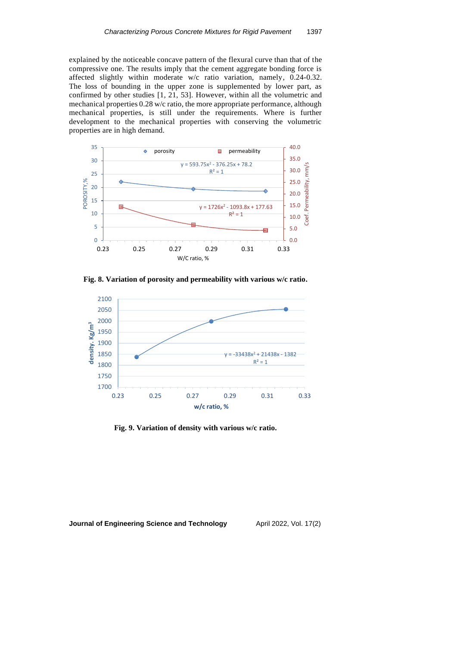explained by the noticeable concave pattern of the flexural curve than that of the compressive one. The results imply that the cement aggregate bonding force is affected slightly within moderate w/c ratio variation, namely, 0.24-0.32. The loss of bounding in the upper zone is supplemented by lower part, as confirmed by other studies [1, 21, 53]. However, within all the volumetric and mechanical properties 0.28 w/c ratio, the more appropriate performance, although mechanical properties, is still under the requirements. Where is further development to the mechanical properties with conserving the volumetric properties are in high demand.



**Fig. 8. Variation of porosity and permeability with various w/c ratio.**



**Fig. 9. Variation of density with various w/c ratio.**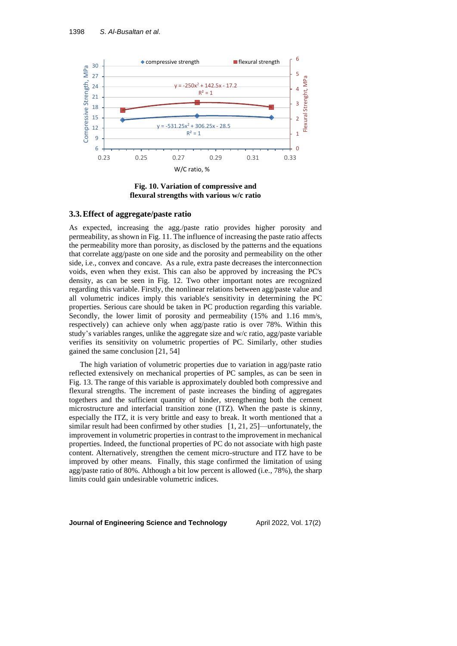

**Fig. 10. Variation of compressive and flexural strengths with various w/c ratio**

## **3.3.Effect of aggregate/paste ratio**

As expected, increasing the agg./paste ratio provides higher porosity and permeability, as shown in Fig. 11. The influence of increasing the paste ratio affects the permeability more than porosity, as disclosed by the patterns and the equations that correlate agg/paste on one side and the porosity and permeability on the other side, i.e., convex and concave. As a rule, extra paste decreases the interconnection voids, even when they exist. This can also be approved by increasing the PC's density, as can be seen in Fig. 12. Two other important notes are recognized regarding this variable. Firstly, the nonlinear relations between agg/paste value and all volumetric indices imply this variable's sensitivity in determining the PC properties. Serious care should be taken in PC production regarding this variable. Secondly, the lower limit of porosity and permeability (15% and 1.16 mm/s, respectively) can achieve only when agg/paste ratio is over 78%. Within this study's variables ranges, unlike the aggregate size and w/c ratio, agg/paste variable verifies its sensitivity on volumetric properties of PC. Similarly, other studies gained the same conclusion [21, 54]

The high variation of volumetric properties due to variation in agg/paste ratio reflected extensively on mechanical properties of PC samples, as can be seen in Fig. 13. The range of this variable is approximately doubled both compressive and flexural strengths. The increment of paste increases the binding of aggregates togethers and the sufficient quantity of binder, strengthening both the cement microstructure and interfacial transition zone (ITZ). When the paste is skinny, especially the ITZ, it is very brittle and easy to break. It worth mentioned that a similar result had been confirmed by other studies [1, 21, 25]—unfortunately, the improvement in volumetric properties in contrast to the improvement in mechanical properties. Indeed, the functional properties of PC do not associate with high paste content. Alternatively, strengthen the cement micro-structure and ITZ have to be improved by other means. Finally, this stage confirmed the limitation of using agg/paste ratio of 80%. Although a bit low percent is allowed (i.e., 78%), the sharp limits could gain undesirable volumetric indices.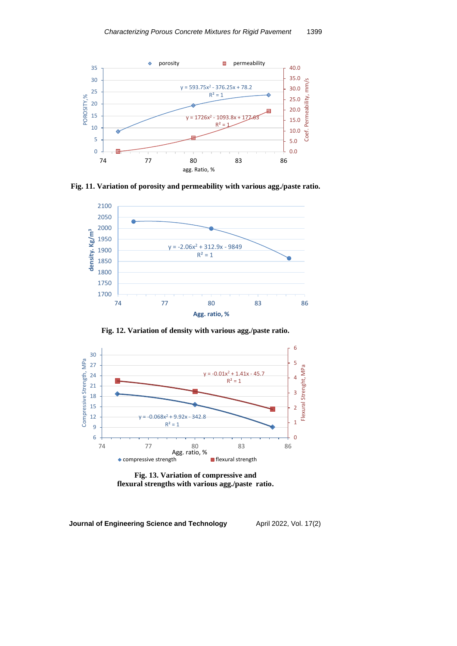

**Fig. 11. Variation of porosity and permeability with various agg./paste ratio.**



**Fig. 12. Variation of density with various agg./paste ratio.**



**Fig. 13. Variation of compressive and flexural strengths with various agg./paste ratio.**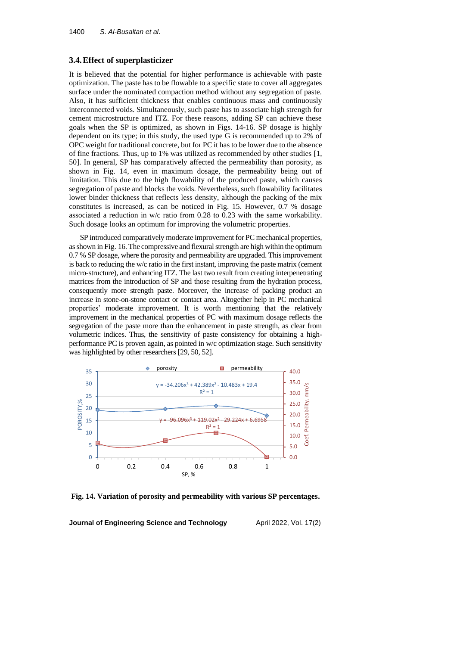#### **3.4.Effect of superplasticizer**

It is believed that the potential for higher performance is achievable with paste optimization. The paste has to be flowable to a specific state to cover all aggregates surface under the nominated compaction method without any segregation of paste. Also, it has sufficient thickness that enables continuous mass and continuously interconnected voids. Simultaneously, such paste has to associate high strength for cement microstructure and ITZ. For these reasons, adding SP can achieve these goals when the SP is optimized, as shown in Figs. 14-16. SP dosage is highly dependent on its type; in this study, the used type G is recommended up to 2% of OPC weight for traditional concrete, but for PC it has to be lower due to the absence of fine fractions. Thus, up to 1% was utilized as recommended by other studies [1, 50]. In general, SP has comparatively affected the permeability than porosity, as shown in Fig. 14, even in maximum dosage, the permeability being out of limitation. This due to the high flowability of the produced paste, which causes segregation of paste and blocks the voids. Nevertheless, such flowability facilitates lower binder thickness that reflects less density, although the packing of the mix constitutes is increased, as can be noticed in Fig. 15. However, 0.7 % dosage associated a reduction in w/c ratio from 0.28 to 0.23 with the same workability. Such dosage looks an optimum for improving the volumetric properties.

SP introduced comparatively moderate improvement for PC mechanical properties, as shown in Fig. 16. The compressive and flexural strength are high within the optimum 0.7 % SP dosage, where the porosity and permeability are upgraded. This improvement is back to reducing the w/c ratio in the first instant, improving the paste matrix (cement micro-structure), and enhancing ITZ. The last two result from creating interpenetrating matrices from the introduction of SP and those resulting from the hydration process, consequently more strength paste. Moreover, the increase of packing product an increase in stone-on-stone contact or contact area. Altogether help in PC mechanical properties' moderate improvement. It is worth mentioning that the relatively improvement in the mechanical properties of PC with maximum dosage reflects the segregation of the paste more than the enhancement in paste strength, as clear from volumetric indices. Thus, the sensitivity of paste consistency for obtaining a highperformance PC is proven again, as pointed in w/c optimization stage. Such sensitivity was highlighted by other researchers [29, 50, 52].



**Fig. 14. Variation of porosity and permeability with various SP percentages.**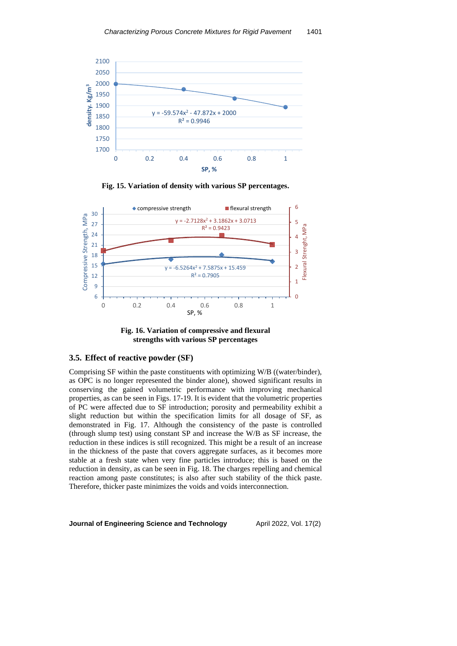

**Fig. 15. Variation of density with various SP percentages.**



**Fig. 16. Variation of compressive and flexural strengths with various SP percentages**

## **3.5. Effect of reactive powder (SF)**

Comprising SF within the paste constituents with optimizing W/B ((water/binder), as OPC is no longer represented the binder alone), showed significant results in conserving the gained volumetric performance with improving mechanical properties, as can be seen in Figs. 17-19. It is evident that the volumetric properties of PC were affected due to SF introduction; porosity and permeability exhibit a slight reduction but within the specification limits for all dosage of SF, as demonstrated in Fig. 17. Although the consistency of the paste is controlled (through slump test) using constant SP and increase the W/B as SF increase, the reduction in these indices is still recognized. This might be a result of an increase in the thickness of the paste that covers aggregate surfaces, as it becomes more stable at a fresh state when very fine particles introduce; this is based on the reduction in density, as can be seen in Fig. 18. The charges repelling and chemical reaction among paste constitutes; is also after such stability of the thick paste. Therefore, thicker paste minimizes the voids and voids interconnection.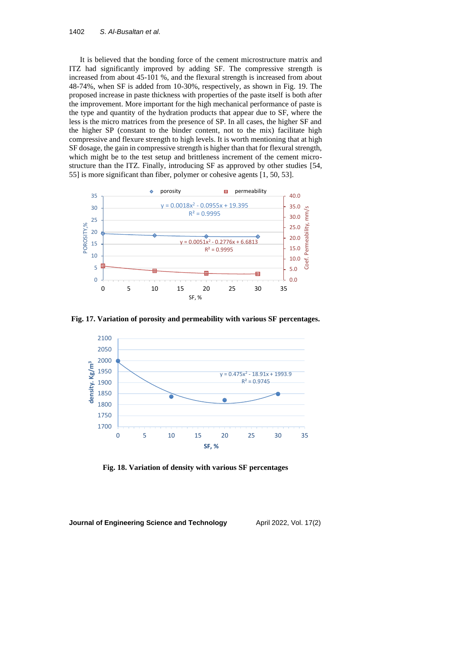It is believed that the bonding force of the cement microstructure matrix and ITZ had significantly improved by adding SF. The compressive strength is increased from about 45-101 %, and the flexural strength is increased from about 48-74%, when SF is added from 10-30%, respectively, as shown in Fig. 19. The proposed increase in paste thickness with properties of the paste itself is both after the improvement. More important for the high mechanical performance of paste is the type and quantity of the hydration products that appear due to SF, where the less is the micro matrices from the presence of SP. In all cases, the higher SF and the higher SP (constant to the binder content, not to the mix) facilitate high compressive and flexure strength to high levels. It is worth mentioning that at high SF dosage, the gain in compressive strength is higher than that for flexural strength, which might be to the test setup and brittleness increment of the cement microstructure than the ITZ. Finally, introducing SF as approved by other studies [54, 55] is more significant than fiber, polymer or cohesive agents [1, 50, 53].



**Fig. 17. Variation of porosity and permeability with various SF percentages.**



**Fig. 18. Variation of density with various SF percentages**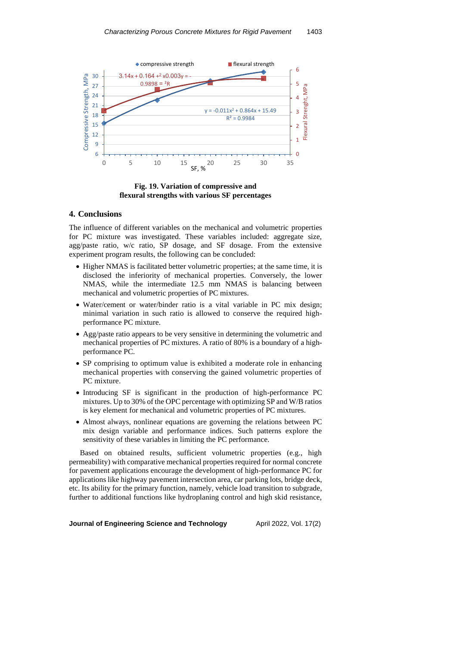

**Fig. 19. Variation of compressive and flexural strengths with various SF percentages**

# **4. Conclusions**

The influence of different variables on the mechanical and volumetric properties for PC mixture was investigated. These variables included: aggregate size, agg/paste ratio, w/c ratio, SP dosage, and SF dosage. From the extensive experiment program results, the following can be concluded:

- Higher NMAS is facilitated better volumetric properties; at the same time, it is disclosed the inferiority of mechanical properties. Conversely, the lower NMAS, while the intermediate 12.5 mm NMAS is balancing between mechanical and volumetric properties of PC mixtures.
- Water/cement or water/binder ratio is a vital variable in PC mix design; minimal variation in such ratio is allowed to conserve the required highperformance PC mixture.
- Agg/paste ratio appears to be very sensitive in determining the volumetric and mechanical properties of PC mixtures. A ratio of 80% is a boundary of a highperformance PC.
- SP comprising to optimum value is exhibited a moderate role in enhancing mechanical properties with conserving the gained volumetric properties of PC mixture.
- Introducing SF is significant in the production of high-performance PC mixtures. Up to 30% of the OPC percentage with optimizing SP and W/B ratios is key element for mechanical and volumetric properties of PC mixtures.
- Almost always, nonlinear equations are governing the relations between PC mix design variable and performance indices. Such patterns explore the sensitivity of these variables in limiting the PC performance.

Based on obtained results, sufficient volumetric properties (e.g., high permeability) with comparative mechanical properties required for normal concrete for pavement applications encourage the development of high-performance PC for applications like highway pavement intersection area, car parking lots, bridge deck, etc. Its ability for the primary function, namely, vehicle load transition to subgrade, further to additional functions like hydroplaning control and high skid resistance,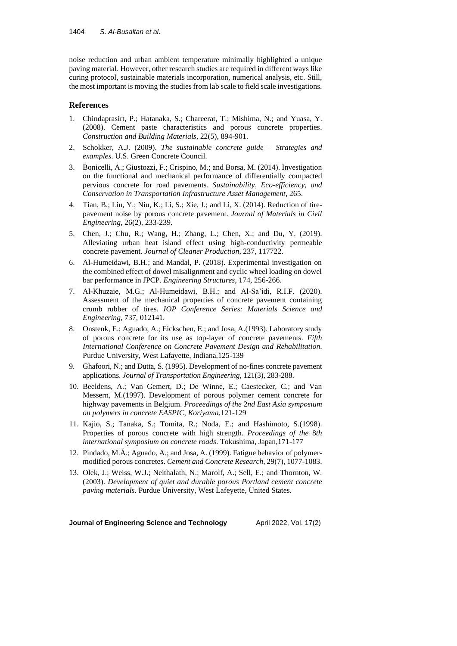noise reduction and urban ambient temperature minimally highlighted a unique paving material. However, other research studies are required in different ways like curing protocol, sustainable materials incorporation, numerical analysis, etc. Still, the most important is moving the studies from lab scale to field scale investigations.

# **References**

- 1. Chindaprasirt, P.; Hatanaka, S.; Chareerat, T.; Mishima, N.; and Yuasa, Y. (2008). Cement paste characteristics and porous concrete properties. *Construction and Building Materials*, 22(5), 894-901.
- 2. Schokker, A.J. (2009). *The sustainable concrete guide – Strategies and examples*. U.S. Green Concrete Council.
- 3. Bonicelli, A.; Giustozzi, F.; Crispino, M.; and Borsa, M. (2014). Investigation on the functional and mechanical performance of differentially compacted pervious concrete for road pavements. *Sustainability*, *Eco-efficiency*, *and Conservation in Transportation Infrastructure Asset Management*, 265.
- 4. Tian, B.; Liu, Y.; Niu, K.; Li, S.; Xie, J.; and Li, X. (2014). Reduction of tirepavement noise by porous concrete pavement. *Journal of Materials in Civil Engineering*, 26(2), 233-239.
- 5. Chen, J.; Chu, R.; Wang, H.; Zhang, L.; Chen, X.; and Du, Y. (2019). Alleviating urban heat island effect using high-conductivity permeable concrete pavement. *Journal of Cleaner Production*, 237, 117722.
- 6. Al-Humeidawi, B.H.; and Mandal, P. (2018). Experimental investigation on the combined effect of dowel misalignment and cyclic wheel loading on dowel bar performance in JPCP. *Engineering Structures*, 174, 256-266.
- 7. Al-Khuzaie, M.G.; Al-Humeidawi, B.H.; and Al-Sa'idi, R.I.F. (2020). Assessment of the mechanical properties of concrete pavement containing crumb rubber of tires. *IOP Conference Series: Materials Science and Engineering*, 737, 012141.
- 8. Onstenk, E.; Aguado, A.; Eickschen, E.; and Josa, A.(1993). Laboratory study of porous concrete for its use as top-layer of concrete pavements. *Fifth International Conference on Concrete Pavement Design and Rehabilitation*. Purdue University, West Lafayette, Indiana,125-139
- 9. Ghafoori, N.; and Dutta, S. (1995). Development of no-fines concrete pavement applications. *Journal of Transportation Engineering*, 121(3), 283-288.
- 10. Beeldens, A.; Van Gemert, D.; De Winne, E.; Caestecker, C.; and Van Messern, M.(1997). Development of porous polymer cement concrete for highway pavements in Belgium. *Proceedings of the* 2*nd East Asia symposium on polymers in concrete EASPIC*, *Koriyama*,121-129
- 11. Kajio, S.; Tanaka, S.; Tomita, R.; Noda, E.; and Hashimoto, S.(1998). Properties of porous concrete with high strength. *Proceedings of the* 8*th international symposium on concrete roads*. Tokushima, Japan,171-177
- 12. Pindado, M.Á.; Aguado, A.; and Josa, A. (1999). Fatigue behavior of polymermodified porous concretes. *Cement and Concrete Research*, 29(7), 1077-1083.
- 13. Olek, J.; Weiss, W.J.; Neithalath, N.; Marolf, A.; Sell, E.; and Thornton, W. (2003). *Development of quiet and durable porous Portland cement concrete paving materials*. Purdue University, West Lafeyette, United States.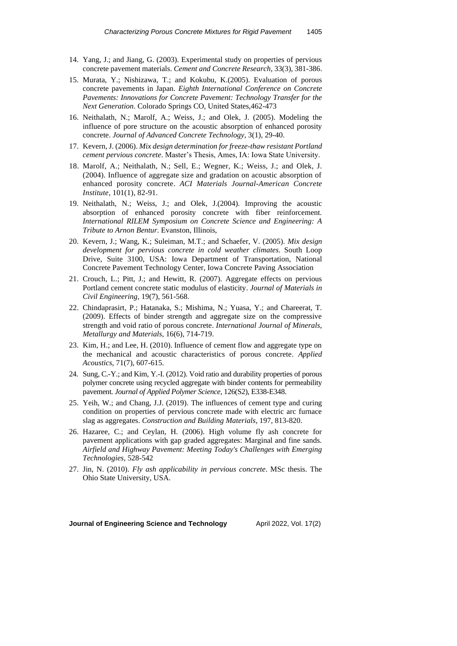- 14. Yang, J.; and Jiang, G. (2003). Experimental study on properties of pervious concrete pavement materials. *Cement and Concrete Research*, 33(3), 381-386.
- 15. Murata, Y.; Nishizawa, T.; and Kokubu, K.(2005). Evaluation of porous concrete pavements in Japan. *Eighth International Conference on Concrete Pavements: Innovations for Concrete Pavement: Technology Transfer for the Next Generation*. Colorado Springs CO, United States,462-473
- 16. Neithalath, N.; Marolf, A.; Weiss, J.; and Olek, J. (2005). Modeling the influence of pore structure on the acoustic absorption of enhanced porosity concrete. *Journal of Advanced Concrete Technology*, 3(1), 29-40.
- 17. Kevern, J. (2006). *Mix design determination for freeze-thaw resistant Portland cement pervious concrete*. Master's Thesis, Ames, IA: Iowa State University.
- 18. Marolf, A.; Neithalath, N.; Sell, E.; Wegner, K.; Weiss, J.; and Olek, J. (2004). Influence of aggregate size and gradation on acoustic absorption of enhanced porosity concrete. *ACI Materials Journal-American Concrete Institute*, 101(1), 82-91.
- 19. Neithalath, N.; Weiss, J.; and Olek, J.(2004). Improving the acoustic absorption of enhanced porosity concrete with fiber reinforcement. *International RILEM Symposium on Concrete Science and Engineering: A Tribute to Arnon Bentur*. Evanston, Illinois,
- 20. Kevern, J.; Wang, K.; Suleiman, M.T.; and Schaefer, V. (2005). *Mix design development for pervious concrete in cold weather climates*. South Loop Drive, Suite 3100, USA: Iowa Department of Transportation, National Concrete Pavement Technology Center, Iowa Concrete Paving Association
- 21. Crouch, L.; Pitt, J.; and Hewitt, R. (2007). Aggregate effects on pervious Portland cement concrete static modulus of elasticity. *Journal of Materials in Civil Engineering*, 19(7), 561-568.
- 22. Chindaprasirt, P.; Hatanaka, S.; Mishima, N.; Yuasa, Y.; and Chareerat, T. (2009). Effects of binder strength and aggregate size on the compressive strength and void ratio of porous concrete. *International Journal of Minerals*, *Metallurgy and Materials*, 16(6), 714-719.
- 23. Kim, H.; and Lee, H. (2010). Influence of cement flow and aggregate type on the mechanical and acoustic characteristics of porous concrete. *Applied Acoustics*, 71(7), 607-615.
- 24. Sung, C.-Y.; and Kim, Y.-I. (2012). Void ratio and durability properties of porous polymer concrete using recycled aggregate with binder contents for permeability pavement. *Journal of Applied Polymer Science*, 126(S2), E338-E348.
- 25. Yeih, W.; and Chang, J.J. (2019). The influences of cement type and curing condition on properties of pervious concrete made with electric arc furnace slag as aggregates. *Construction and Building Materials*, 197, 813-820.
- 26. Hazaree, C.; and Ceylan, H. (2006). High volume fly ash concrete for pavement applications with gap graded aggregates: Marginal and fine sands. *Airfield and Highway Pavement: Meeting Today's Challenges with Emerging Technologies*, 528-542
- 27. Jin, N. (2010). *Fly ash applicability in pervious concrete*. MSc thesis. The Ohio State University, USA.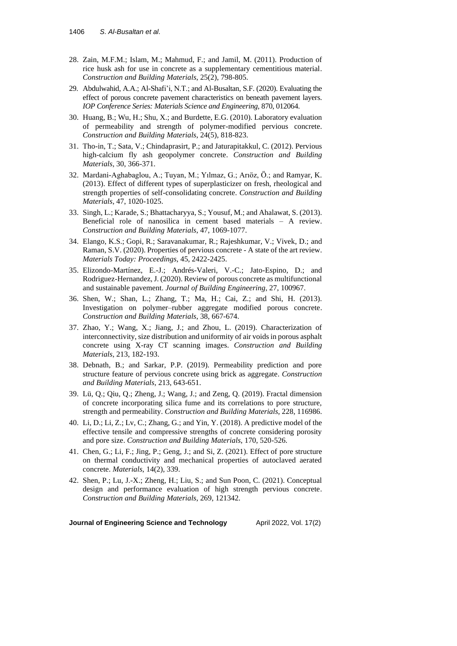- 28. Zain, M.F.M.; Islam, M.; Mahmud, F.; and Jamil, M. (2011). Production of rice husk ash for use in concrete as a supplementary cementitious material. *Construction and Building Materials*, 25(2), 798-805.
- 29. Abdulwahid, A.A.; Al-Shafi'i, N.T.; and Al-Busaltan, S.F. (2020). Evaluating the effect of porous concrete pavement characteristics on beneath pavement layers. *IOP Conference Series: Materials Science and Engineering*, 870, 012064.
- 30. Huang, B.; Wu, H.; Shu, X.; and Burdette, E.G. (2010). Laboratory evaluation of permeability and strength of polymer-modified pervious concrete. *Construction and Building Materials*, 24(5), 818-823.
- 31. Tho-in, T.; Sata, V.; Chindaprasirt, P.; and Jaturapitakkul, C. (2012). Pervious high-calcium fly ash geopolymer concrete. *Construction and Building Materials*, 30, 366-371.
- 32. Mardani-Aghabaglou, A.; Tuyan, M.; Yılmaz, G.; Arıöz, Ö.; and Ramyar, K. (2013). Effect of different types of superplasticizer on fresh, rheological and strength properties of self-consolidating concrete. *Construction and Building Materials*, 47, 1020-1025.
- 33. Singh, L.; Karade, S.; Bhattacharyya, S.; Yousuf, M.; and Ahalawat, S. (2013). Beneficial role of nanosilica in cement based materials – A review. *Construction and Building Materials*, 47, 1069-1077.
- 34. Elango, K.S.; Gopi, R.; Saravanakumar, R.; Rajeshkumar, V.; Vivek, D.; and Raman, S.V. (2020). Properties of pervious concrete - A state of the art review. *Materials Today: Proceedings*, 45, 2422-2425.
- 35. Elizondo-Martínez, E.-J.; Andrés-Valeri, V.-C.; Jato-Espino, D.; and Rodriguez-Hernandez, J. (2020). Review of porous concrete as multifunctional and sustainable pavement. *Journal of Building Engineering*, 27, 100967.
- 36. Shen, W.; Shan, L.; Zhang, T.; Ma, H.; Cai, Z.; and Shi, H. (2013). Investigation on polymer–rubber aggregate modified porous concrete. *Construction and Building Materials*, 38, 667-674.
- 37. Zhao, Y.; Wang, X.; Jiang, J.; and Zhou, L. (2019). Characterization of interconnectivity, size distribution and uniformity of air voids in porous asphalt concrete using X-ray CT scanning images. *Construction and Building Materials*, 213, 182-193.
- 38. Debnath, B.; and Sarkar, P.P. (2019). Permeability prediction and pore structure feature of pervious concrete using brick as aggregate. *Construction and Building Materials*, 213, 643-651.
- 39. Lü, Q.; Qiu, Q.; Zheng, J.; Wang, J.; and Zeng, Q. (2019). Fractal dimension of concrete incorporating silica fume and its correlations to pore structure, strength and permeability. *Construction and Building Materials*, 228, 116986.
- 40. Li, D.; Li, Z.; Lv, C.; Zhang, G.; and Yin, Y. (2018). A predictive model of the effective tensile and compressive strengths of concrete considering porosity and pore size. *Construction and Building Materials*, 170, 520-526.
- 41. Chen, G.; Li, F.; Jing, P.; Geng, J.; and Si, Z. (2021). Effect of pore structure on thermal conductivity and mechanical properties of autoclaved aerated concrete. *Materials*, 14(2), 339.
- 42. Shen, P.; Lu, J.-X.; Zheng, H.; Liu, S.; and Sun Poon, C. (2021). Conceptual design and performance evaluation of high strength pervious concrete. *Construction and Building Materials*, 269, 121342.